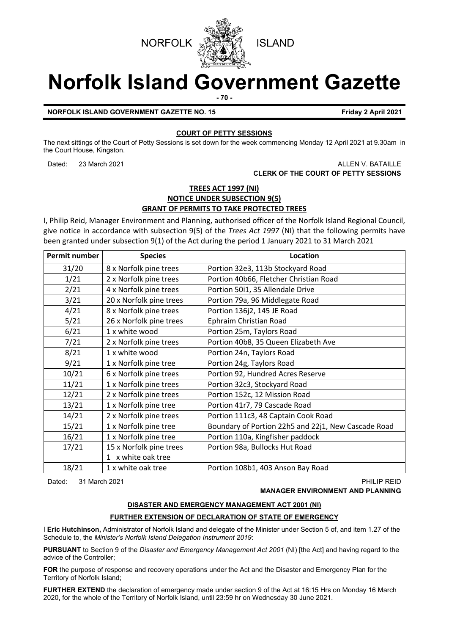



# **Norfolk Island Government Gazette**

**- 70 -**

**NORFOLK ISLAND GOVERNMENT GAZETTE NO. 15 Friday 2 April 2021**

## **COURT OF PETTY SESSIONS**

The next sittings of the Court of Petty Sessions is set down for the week commencing Monday 12 April 2021 at 9.30am in the Court House, Kingston.

## Dated: 23 March 2021 **ALLEN V. BATAILLE CLERK OF THE COURT OF PETTY SESSIONS**

## **TREES ACT 1997 (NI) NOTICE UNDER SUBSECTION 9(5) GRANT OF PERMITS TO TAKE PROTECTED TREES**

I, Philip Reid, Manager Environment and Planning, authorised officer of the Norfolk Island Regional Council, give notice in accordance with subsection 9(5) of the *Trees Act 1997* (NI) that the following permits have been granted under subsection 9(1) of the Act during the period 1 January 2021 to 31 March 2021

| <b>Permit number</b> | <b>Species</b>          | Location                                            |
|----------------------|-------------------------|-----------------------------------------------------|
| 31/20                | 8 x Norfolk pine trees  | Portion 32e3, 113b Stockyard Road                   |
| 1/21                 | 2 x Norfolk pine trees  | Portion 40b66, Fletcher Christian Road              |
| 2/21                 | 4 x Norfolk pine trees  | Portion 50i1, 35 Allendale Drive                    |
| 3/21                 | 20 x Norfolk pine trees | Portion 79a, 96 Middlegate Road                     |
| 4/21                 | 8 x Norfolk pine trees  | Portion 136j2, 145 JE Road                          |
| 5/21                 | 26 x Norfolk pine trees | Ephraim Christian Road                              |
| 6/21                 | 1 x white wood          | Portion 25m, Taylors Road                           |
| 7/21                 | 2 x Norfolk pine trees  | Portion 40b8, 35 Queen Elizabeth Ave                |
| 8/21                 | 1 x white wood          | Portion 24n, Taylors Road                           |
| 9/21                 | 1 x Norfolk pine tree   | Portion 24g, Taylors Road                           |
| 10/21                | 6 x Norfolk pine trees  | Portion 92, Hundred Acres Reserve                   |
| 11/21                | 1 x Norfolk pine trees  | Portion 32c3, Stockyard Road                        |
| 12/21                | 2 x Norfolk pine trees  | Portion 152c, 12 Mission Road                       |
| 13/21                | 1 x Norfolk pine tree   | Portion 41r7, 79 Cascade Road                       |
| 14/21                | 2 x Norfolk pine trees  | Portion 111c3, 48 Captain Cook Road                 |
| 15/21                | 1 x Norfolk pine tree   | Boundary of Portion 22h5 and 22j1, New Cascade Road |
| 16/21                | 1 x Norfolk pine tree   | Portion 110a, Kingfisher paddock                    |
| 17/21                | 15 x Norfolk pine trees | Portion 98a, Bullocks Hut Road                      |
|                      | 1 x white oak tree      |                                                     |
| 18/21                | 1 x white oak tree      | Portion 108b1, 403 Anson Bay Road                   |

Dated: 31 March 2021 PHILIP REID

## **MANAGER ENVIRONMENT AND PLANNING**

## **DISASTER AND EMERGENCY MANAGEMENT ACT 2001 (NI)**

## **FURTHER EXTENSION OF DECLARATION OF STATE OF EMERGENCY**

I **Eric Hutchinson,** Administrator of Norfolk Island and delegate of the Minister under Section 5 of, and item 1.27 of the Schedule to, the *Minister's Norfolk Island Delegation Instrument 2019*:

**PURSUANT** to Section 9 of the *Disaster and Emergency Management Act 2001* (NI) [the Act] and having regard to the advice of the Controller;

**FOR** the purpose of response and recovery operations under the Act and the Disaster and Emergency Plan for the Territory of Norfolk Island;

**FURTHER EXTEND** the declaration of emergency made under section 9 of the Act at 16:15 Hrs on Monday 16 March 2020, for the whole of the Territory of Norfolk Island, until 23:59 hr on Wednesday 30 June 2021.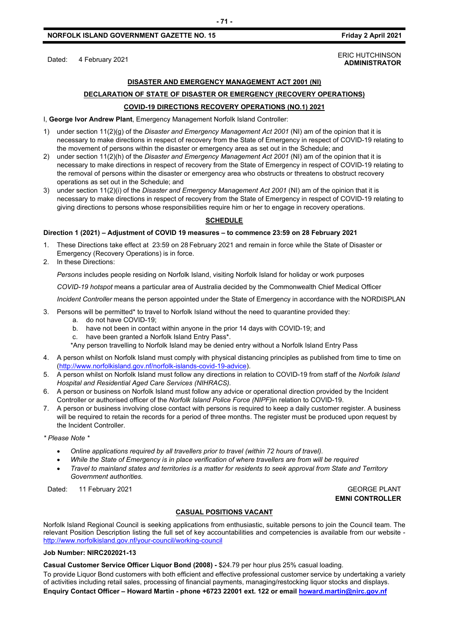## **DISASTER AND EMERGENCY MANAGEMENT ACT 2001 (NI)**

## **DECLARATION OF STATE OF DISASTER OR EMERGENCY (RECOVERY OPERATIONS) COVID-19 DIRECTIONS RECOVERY OPERATIONS (NO.1) 2021**

I, **George Ivor Andrew Plant**, Emergency Management Norfolk Island Controller:

- 1) under section 11(2)(g) of the *Disaster and Emergency Management Act 2001* (NI) am of the opinion that it is necessary to make directions in respect of recovery from the State of Emergency in respect of COVID-19 relating to the movement of persons within the disaster or emergency area as set out in the Schedule; and
- 2) under section 11(2)(h) of the *Disaster and Emergency Management Act 2001* (NI) am of the opinion that it is necessary to make directions in respect of recovery from the State of Emergency in respect of COVID-19 relating to the removal of persons within the disaster or emergency area who obstructs or threatens to obstruct recovery operations as set out in the Schedule; and
- 3) under section 11(2)(i) of the *Disaster and Emergency Management Act 2001* (NI) am of the opinion that it is necessary to make directions in respect of recovery from the State of Emergency in respect of COVID-19 relating to giving directions to persons whose responsibilities require him or her to engage in recovery operations.

#### **SCHEDULE**

#### **Direction 1 (2021) – Adjustment of COVID 19 measures – to commence 23:59 on 28 February 2021**

- 1. These Directions take effect at 23:59 on 28 February 2021 and remain in force while the State of Disaster or Emergency (Recovery Operations) is in force.
- 2. In these Directions:

*Persons* includes people residing on Norfolk Island, visiting Norfolk Island for holiday or work purposes

*COVID-19 hotspot* means a particular area of Australia decided by the Commonwealth Chief Medical Officer

*Incident Controller* means the person appointed under the State of Emergency in accordance with the NORDISPLAN

- 3. Persons will be permitted\* to travel to Norfolk Island without the need to quarantine provided they:
	- a. do not have COVID-19;
	- b. have not been in contact within anyone in the prior 14 days with COVID-19; and
	- c. have been granted a Norfolk Island Entry Pass\*.

\*Any person travelling to Norfolk Island may be denied entry without a Norfolk Island Entry Pass

- 4. A person whilst on Norfolk Island must comply with physical distancing principles as published from time to time on [\(http://www.norfolkisland.gov.nf/norfolk-islands-covid-19-advice\)](http://www.norfolkisland.gov.nf/norfolk-islands-covid-19-advice).
- 5. A person whilst on Norfolk Island must follow any directions in relation to COVID-19 from staff of the *Norfolk Island Hospital and Residential Aged Care Services (NIHRACS).*
- 6. A person or business on Norfolk Island must follow any advice or operational direction provided by the Incident Controller or authorised officer of the *Norfolk Island Police Force (NIPF)*in relation to COVID-19.
- 7. A person or business involving close contact with persons is required to keep a daily customer register. A business will be required to retain the records for a period of three months. The register must be produced upon request by the Incident Controller.

*\* Please Note \** 

- *Online applications required by all travellers prior to travel (within 72 hours of travel).*
- *While the State of Emergency is in place verification of where travellers are from will be required*
- *Travel to mainland states and territories is a matter for residents to seek approval from State and Territory Government authorities.*

Dated: 11 February 2021 Case of the Contract of the Contract of the Contract of the Contract of the Contract of GEORGE PLANT

**EMNI CONTROLLER**

### **CASUAL POSITIONS VACANT**

Norfolk Island Regional Council is seeking applications from enthusiastic, suitable persons to join the Council team. The relevant Position Description listing the full set of key accountabilities and competencies is available from our website <http://www.norfolkisland.gov.nf/your-council/working-council>

#### **Job Number: NIRC202021-13**

**Casual Customer Service Officer Liquor Bond (2008) -** \$24.79 per hour plus 25% casual loading.

To provide Liquor Bond customers with both efficient and effective professional customer service by undertaking a variety of activities including retail sales, processing of financial payments, managing/restocking liquor stocks and displays. **Enquiry Contact Officer – Howard Martin - phone +6723 22001 ext. 122 or emai[l howard.martin@nirc.gov.nf](mailto:howard.martin@nirc.gov.nf)**

Dated: 4 February 2021<br>Dated: 4 February 2021 **ADMINISTRATOR**